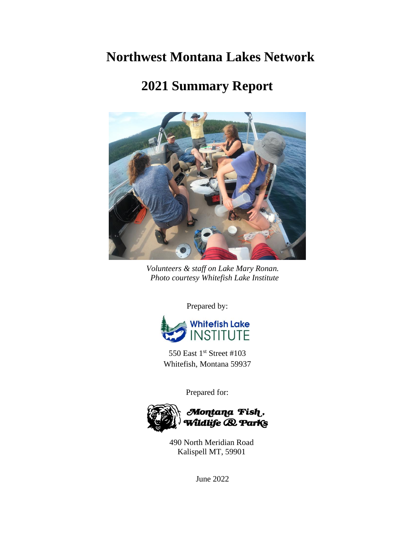# **Northwest Montana Lakes Network**

# **2021 Summary Report**



*Volunteers & staff on Lake Mary Ronan. Photo courtesy Whitefish Lake Institute*

Prepared by:



550 East 1<sup>st</sup> Street #103 Whitefish, Montana 59937

Prepared for:



490 North Meridian Road Kalispell MT, 59901

June 2022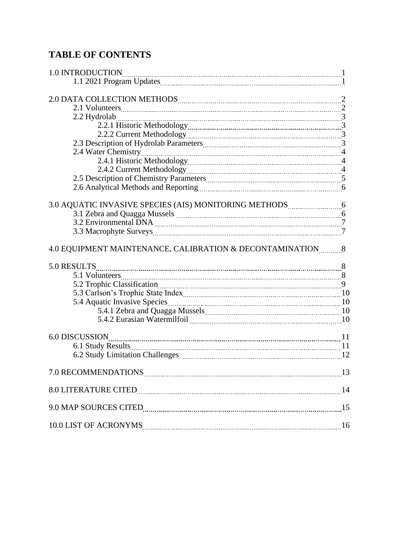# **TABLE OF CONTENTS**

| 3.0 AQUATIC INVASIVE SPECIES (AIS) MONITORING METHODS 3.0 AQUATIC INVASIVE SPECIES (AIS) MONITORING METHODS |    |
|-------------------------------------------------------------------------------------------------------------|----|
|                                                                                                             |    |
|                                                                                                             |    |
|                                                                                                             |    |
|                                                                                                             |    |
| 4.0 EQUIPMENT MAINTENANCE, CALIBRATION & DECONTAMINATION 8                                                  |    |
| 5.0 RESULTS                                                                                                 |    |
|                                                                                                             |    |
|                                                                                                             |    |
|                                                                                                             |    |
|                                                                                                             |    |
|                                                                                                             |    |
|                                                                                                             |    |
| <b>6.0 DISCUSSION</b>                                                                                       |    |
|                                                                                                             |    |
|                                                                                                             | 12 |
| 7.0 RECOMMENDATIONS 13                                                                                      |    |
|                                                                                                             |    |
|                                                                                                             |    |
|                                                                                                             |    |
|                                                                                                             | 16 |
|                                                                                                             |    |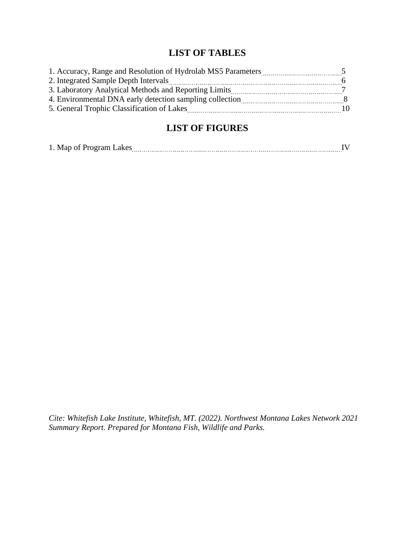### **LIST OF TABLES**

| 1. Accuracy, Range and Resolution of Hydrolab MS5 Parameters |    |
|--------------------------------------------------------------|----|
| 2. Integrated Sample Depth Intervals                         |    |
| 3. Laboratory Analytical Methods and Reporting Limits        |    |
| 4. Environmental DNA early detection sampling collection     |    |
| 5. General Trophic Classification of Lakes                   | 10 |

### **LIST OF FIGURES**

|--|--|--|

*Cite: Whitefish Lake Institute, Whitefish, MT. (2022). Northwest Montana Lakes Network 2021 Summary Report. Prepared for Montana Fish, Wildlife and Parks.*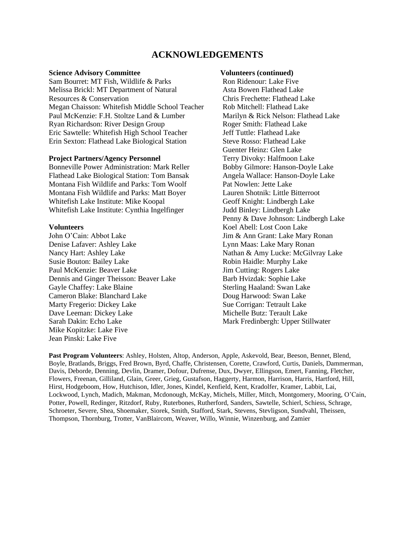#### **ACKNOWLEDGEMENTS**

#### **Science Advisory Committee**

Sam Bourret: MT Fish, Wildlife & Parks Melissa Brickl: MT Department of Natural Resources & Conservation Megan Chaisson: Whitefish Middle School Teacher Paul McKenzie: F.H. Stoltze Land & Lumber Ryan Richardson: River Design Group Eric Sawtelle: Whitefish High School Teacher Erin Sexton: Flathead Lake Biological Station

#### **Project Partners/Agency Personnel**

Bonneville Power Administration: Mark Reller Flathead Lake Biological Station: Tom Bansak Montana Fish Wildlife and Parks: Tom Woolf Montana Fish Wildlife and Parks: Matt Boyer Whitefish Lake Institute: Mike Koopal Whitefish Lake Institute: Cynthia Ingelfinger

#### **Volunteers**

John O'Cain: Abbot Lake Denise Lafaver: Ashley Lake Nancy Hart: Ashley Lake Susie Bouton: Bailey Lake Paul McKenzie: Beaver Lake Dennis and Ginger Theisson: Beaver Lake Gayle Chaffey: Lake Blaine Cameron Blake: Blanchard Lake Marty Fregerio: Dickey Lake Dave Leeman: Dickey Lake Sarah Dakin: Echo Lake Mike Kopitzke: Lake Five Jean Pinski: Lake Five

#### **Volunteers (continued)**

Ron Ridenour: Lake Five Asta Bowen Flathead Lake Chris Frechette: Flathead Lake Rob Mitchell: Flathead Lake Marilyn & Rick Nelson: Flathead Lake Roger Smith: Flathead Lake Jeff Tuttle: Flathead Lake Steve Rosso: Flathead Lake Guenter Heinz: Glen Lake Terry Divoky: Halfmoon Lake Bobby Gilmore: Hanson-Doyle Lake Angela Wallace: Hanson-Doyle Lake Pat Nowlen: Jette Lake Lauren Shotnik: Little Bitterroot Geoff Knight: Lindbergh Lake Judd Binley: Lindbergh Lake Penny & Dave Johnson: Lindbergh Lake Koel Abell: Lost Coon Lake Jim & Ann Grant: Lake Mary Ronan Lynn Maas: Lake Mary Ronan Nathan & Amy Lucke: McGilvray Lake Robin Haidle: Murphy Lake Jim Cutting: Rogers Lake Barb Hvizdak: Sophie Lake Sterling Haaland: Swan Lake Doug Harwood: Swan Lake Sue Corrigan: Tetrault Lake Michelle Butz: Terault Lake Mark Fredinbergh: Upper Stillwater

**Past Program Volunteers**: Ashley, Holsten, Altop, Anderson, Apple, Askevold, Bear, Beeson, Bennet, Blend, Boyle, Bratlands, Briggs, Fred Brown, Byrd, Chaffe, Christensen, Corette, Crawford, Curtis, Daniels, Dammerman, Davis, Deborde, Denning, Devlin, Dramer, Dofour, Dufrense, Dux, Dwyer, Ellingson, Emert, Fanning, Fletcher, Flowers, Freenan, Gilliland, Glain, Greer, Grieg, Gustafson, Haggerty, Harmon, Harrison, Harris, Hartford, Hill, Hirst, Hodgeboom, How, Hutchison, Idler, Jones, Kindel, Kenfield, Kent, Kradolfer, Kramer, Labbit, Lai, Lockwood, Lynch, Madich, Makman, Mcdonough, McKay, Michels, Miller, Mitch, Montgomery, Mooring, O'Cain, Potter, Powell, Redinger, Ritzdorf, Ruby, Ruterbones, Rutherford, Sanders, Sawtelle, Schierl, Schiess, Schrage, Schroeter, Severe, Shea, Shoemaker, Siorek, Smith, Stafford, Stark, Stevens, Stevligson, Sundvahl, Theissen, Thompson, Thornburg, Trotter, VanBlaircom, Weaver, Willo, Winnie, Winzenburg, and Zamier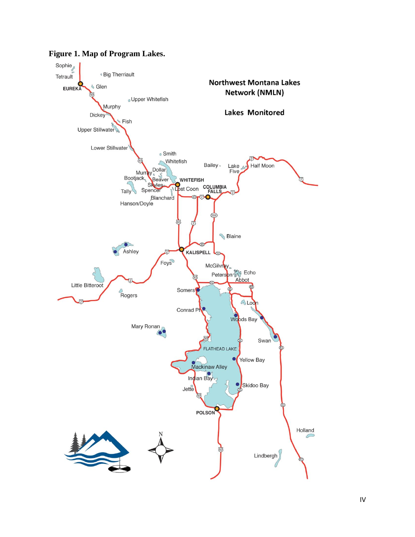

**Figure 1. Map of Program Lakes.**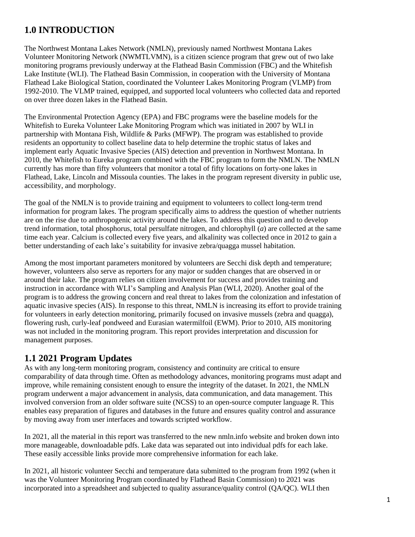## **1.0 INTRODUCTION**

The Northwest Montana Lakes Network (NMLN), previously named Northwest Montana Lakes Volunteer Monitoring Network (NWMTLVMN), is a citizen science program that grew out of two lake monitoring programs previously underway at the Flathead Basin Commission (FBC) and the Whitefish Lake Institute (WLI). The Flathead Basin Commission, in cooperation with the University of Montana Flathead Lake Biological Station, coordinated the Volunteer Lakes Monitoring Program (VLMP) from 1992-2010. The VLMP trained, equipped, and supported local volunteers who collected data and reported on over three dozen lakes in the Flathead Basin.

The Environmental Protection Agency (EPA) and FBC programs were the baseline models for the Whitefish to Eureka Volunteer Lake Monitoring Program which was initiated in 2007 by WLI in partnership with Montana Fish, Wildlife & Parks (MFWP). The program was established to provide residents an opportunity to collect baseline data to help determine the trophic status of lakes and implement early Aquatic Invasive Species (AIS) detection and prevention in Northwest Montana. In 2010, the Whitefish to Eureka program combined with the FBC program to form the NMLN. The NMLN currently has more than fifty volunteers that monitor a total of fifty locations on forty-one lakes in Flathead, Lake, Lincoln and Missoula counties. The lakes in the program represent diversity in public use, accessibility, and morphology.

The goal of the NMLN is to provide training and equipment to volunteers to collect long-term trend information for program lakes. The program specifically aims to address the question of whether nutrients are on the rise due to anthropogenic activity around the lakes. To address this question and to develop trend information, total phosphorus, total persulfate nitrogen, and chlorophyll (*a*) are collected at the same time each year. Calcium is collected every five years, and alkalinity was collected once in 2012 to gain a better understanding of each lake's suitability for invasive zebra/quagga mussel habitation.

Among the most important parameters monitored by volunteers are Secchi disk depth and temperature; however, volunteers also serve as reporters for any major or sudden changes that are observed in or around their lake. The program relies on citizen involvement for success and provides training and instruction in accordance with WLI's Sampling and Analysis Plan (WLI, 2020). Another goal of the program is to address the growing concern and real threat to lakes from the colonization and infestation of aquatic invasive species (AIS). In response to this threat, NMLN is increasing its effort to provide training for volunteers in early detection monitoring, primarily focused on invasive mussels (zebra and quagga), flowering rush, curly-leaf pondweed and Eurasian watermilfoil (EWM). Prior to 2010, AIS monitoring was not included in the monitoring program. This report provides interpretation and discussion for management purposes.

### **1.1 2021 Program Updates**

As with any long-term monitoring program, consistency and continuity are critical to ensure comparability of data through time. Often as methodology advances, monitoring programs must adapt and improve, while remaining consistent enough to ensure the integrity of the dataset. In 2021, the NMLN program underwent a major advancement in analysis, data communication, and data management. This involved conversion from an older software suite (NCSS) to an open-source computer language R. This enables easy preparation of figures and databases in the future and ensures quality control and assurance by moving away from user interfaces and towards scripted workflow.

In 2021, all the material in this report was transferred to the new nmln.info website and broken down into more manageable, downloadable pdfs. Lake data was separated out into individual pdfs for each lake. These easily accessible links provide more comprehensive information for each lake.

In 2021, all historic volunteer Secchi and temperature data submitted to the program from 1992 (when it was the Volunteer Monitoring Program coordinated by Flathead Basin Commission) to 2021 was incorporated into a spreadsheet and subjected to quality assurance/quality control (QA/QC). WLI then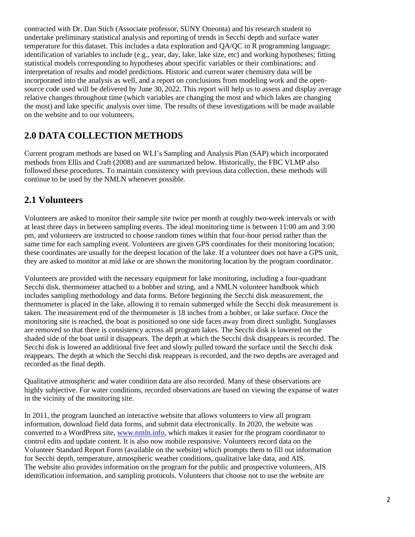contracted with Dr. Dan Stich (Associate professor, SUNY Oneonta) and his research student to undertake preliminary statistical analysis and reporting of trends in Secchi depth and surface water temperature for this dataset. This includes a data exploration and QA/QC in R programming language; identification of variables to include (e.g., year, day, lake, lake size, etc) and working hypotheses; fitting statistical models corresponding to hypotheses about specific variables or their combinations; and interpretation of results and model predictions. Historic and current water chemistry data will be incorporated into the analysis as well, and a report on conclusions from modeling work and the opensource code used will be delivered by June 30, 2022. This report will help us to assess and display average relative changes throughout time (which variables are changing the most and which lakes are changing the most) and lake specific analysis over time. The results of these investigations will be made available on the website and to our volunteers.

## **2.0 DATA COLLECTION METHODS**

Current program methods are based on WLI's Sampling and Analysis Plan (SAP) which incorporated methods from Ellis and Craft (2008) and are summarized below. Historically, the FBC VLMP also followed these procedures. To maintain consistency with previous data collection, these methods will continue to be used by the NMLN whenever possible.

### **2.1 Volunteers**

Volunteers are asked to monitor their sample site twice per month at roughly two-week intervals or with at least three days in between sampling events. The ideal monitoring time is between 11:00 am and 3:00 pm, and volunteers are instructed to choose random times within that four-hour period rather than the same time for each sampling event. Volunteers are given GPS coordinates for their monitoring location; these coordinates are usually for the deepest location of the lake. If a volunteer does not have a GPS unit, they are asked to monitor at mid lake or are shown the monitoring location by the program coordinator.

Volunteers are provided with the necessary equipment for lake monitoring, including a four-quadrant Secchi disk, thermometer attached to a bobber and string, and a NMLN volunteer handbook which includes sampling methodology and data forms. Before beginning the Secchi disk measurement, the thermometer is placed in the lake, allowing it to remain submerged while the Secchi disk measurement is taken. The measurement end of the thermometer is 18 inches from a bobber, or lake surface. Once the monitoring site is reached, the boat is positioned so one side faces away from direct sunlight. Sunglasses are removed so that there is consistency across all program lakes. The Secchi disk is lowered on the shaded side of the boat until it disappears. The depth at which the Secchi disk disappears is recorded. The Secchi disk is lowered an additional five feet and slowly pulled toward the surface until the Secchi disk reappears. The depth at which the Secchi disk reappears is recorded, and the two depths are averaged and recorded as the final depth.

Qualitative atmospheric and water condition data are also recorded. Many of these observations are highly subjective. For water conditions, recorded observations are based on viewing the expanse of water in the vicinity of the monitoring site.

In 2011, the program launched an interactive website that allows volunteers to view all program information, download field data forms, and submit data electronically. In 2020, the website was converted to a WordPress site, [www.nmln.info,](http://www.nmln.info/) which makes it easier for the program coordinator to control edits and update content. It is also now mobile responsive. Volunteers record data on the Volunteer Standard Report Form (available on the website) which prompts them to fill out information for Secchi depth, temperature, atmospheric weather conditions, qualitative lake data, and AIS. The website also provides information on the program for the public and prospective volunteers, AIS identification information, and sampling protocols. Volunteers that choose not to use the website are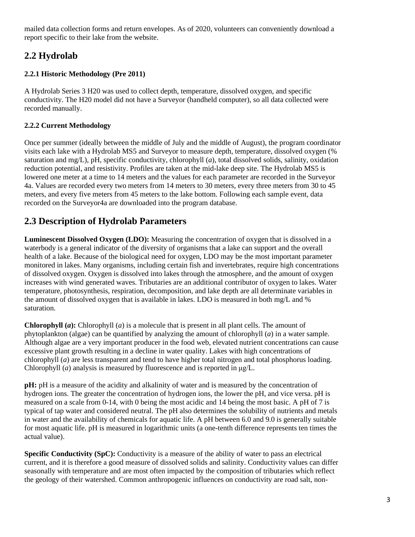mailed data collection forms and return envelopes. As of 2020, volunteers can conveniently download a report specific to their lake from the website.

# **2.2 Hydrolab**

#### **2.2.1 Historic Methodology (Pre 2011)**

A Hydrolab Series 3 H20 was used to collect depth, temperature, dissolved oxygen, and specific conductivity. The H20 model did not have a Surveyor (handheld computer), so all data collected were recorded manually.

#### **2.2.2 Current Methodology**

Once per summer (ideally between the middle of July and the middle of August), the program coordinator visits each lake with a Hydrolab MS5 and Surveyor to measure depth, temperature, dissolved oxygen (% saturation and mg/L), pH, specific conductivity, chlorophyll (*a*), total dissolved solids, salinity, oxidation reduction potential, and resistivity. Profiles are taken at the mid-lake deep site. The Hydrolab MS5 is lowered one meter at a time to 14 meters and the values for each parameter are recorded in the Surveyor 4a. Values are recorded every two meters from 14 meters to 30 meters, every three meters from 30 to 45 meters, and every five meters from 45 meters to the lake bottom. Following each sample event, data recorded on the Surveyor4a are downloaded into the program database.

## **2.3 Description of Hydrolab Parameters**

**Luminescent Dissolved Oxygen (LDO):** Measuring the concentration of oxygen that is dissolved in a waterbody is a general indicator of the diversity of organisms that a lake can support and the overall health of a lake. Because of the biological need for oxygen, LDO may be the most important parameter monitored in lakes. Many organisms, including certain fish and invertebrates, require high concentrations of dissolved oxygen. Oxygen is dissolved into lakes through the atmosphere, and the amount of oxygen increases with wind generated waves. Tributaries are an additional contributor of oxygen to lakes. Water temperature, photosynthesis, respiration, decomposition, and lake depth are all determinate variables in the amount of dissolved oxygen that is available in lakes. LDO is measured in both mg/L and % saturation.

**Chlorophyll (***a***):** Chlorophyll (*a*) is a molecule that is present in all plant cells. The amount of phytoplankton (algae) can be quantified by analyzing the amount of chlorophyll (*a*) in a water sample. Although algae are a very important producer in the food web, elevated nutrient concentrations can cause excessive plant growth resulting in a decline in water quality. Lakes with high concentrations of chlorophyll (*a*) are less transparent and tend to have higher total nitrogen and total phosphorus loading. Chlorophyll (*a*) analysis is measured by fluorescence and is reported in μg/L.

**pH:** pH is a measure of the acidity and alkalinity of water and is measured by the concentration of hydrogen ions. The greater the concentration of hydrogen ions, the lower the pH, and vice versa. pH is measured on a scale from 0-14, with 0 being the most acidic and 14 being the most basic. A pH of 7 is typical of tap water and considered neutral. The pH also determines the solubility of nutrients and metals in water and the availability of chemicals for aquatic life. A pH between 6.0 and 9.0 is generally suitable for most aquatic life. pH is measured in logarithmic units (a one-tenth difference represents ten times the actual value).

**Specific Conductivity (SpC):** Conductivity is a measure of the ability of water to pass an electrical current, and it is therefore a good measure of dissolved solids and salinity. Conductivity values can differ seasonally with temperature and are most often impacted by the composition of tributaries which reflect the geology of their watershed. Common anthropogenic influences on conductivity are road salt, non-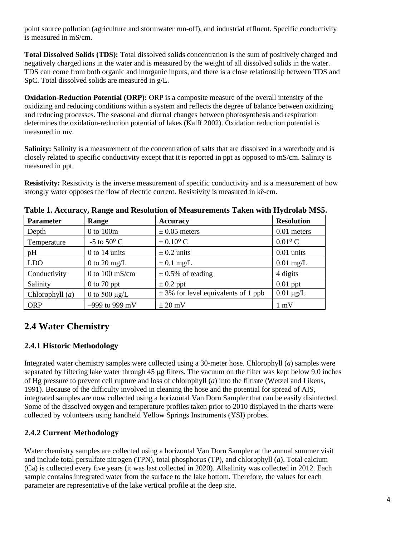point source pollution (agriculture and stormwater run-off), and industrial effluent. Specific conductivity is measured in mS/cm.

**Total Dissolved Solids (TDS):** Total dissolved solids concentration is the sum of positively charged and negatively charged ions in the water and is measured by the weight of all dissolved solids in the water. TDS can come from both organic and inorganic inputs, and there is a close relationship between TDS and SpC. Total dissolved solids are measured in g/L.

**Oxidation-Reduction Potential (ORP):** ORP is a composite measure of the overall intensity of the oxidizing and reducing conditions within a system and reflects the degree of balance between oxidizing and reducing processes. The seasonal and diurnal changes between photosynthesis and respiration determines the oxidation-reduction potential of lakes (Kalff 2002). Oxidation reduction potential is measured in mv.

**Salinity:** Salinity is a measurement of the concentration of salts that are dissolved in a waterbody and is closely related to specific conductivity except that it is reported in ppt as opposed to mS/cm. Salinity is measured in ppt.

**Resistivity:** Resistivity is the inverse measurement of specific conductivity and is a measurement of how strongly water opposes the flow of electric current. Resistivity is measured in kê-cm.

| <b>Parameter</b>  | $\sqrt{2}$<br>Range      | <b>Accuracy</b>                         | <b>Resolution</b>     |
|-------------------|--------------------------|-----------------------------------------|-----------------------|
| Depth             | 0 to 100m                | $\pm$ 0.05 meters                       | 0.01 meters           |
| Temperature       | -5 to $50^{\circ}$ C     | $\pm 0.10^{\circ}$ C                    | $0.01$ <sup>o</sup> C |
| pH                | $0$ to 14 units          | $\pm$ 0.2 units                         | $0.01$ units          |
| <b>LDO</b>        | 0 to 20 mg/L             | $\pm$ 0.1 mg/L                          | $0.01$ mg/L           |
| Conductivity      | 0 to $100 \text{ mS/cm}$ | $\pm$ 0.5% of reading                   | 4 digits              |
| Salinity          | $0$ to 70 ppt            | $\pm$ 0.2 ppt                           | $0.01$ ppt            |
| Chlorophyll $(a)$ | 0 to 500 $\mu$ g/L       | $\pm$ 3% for level equivalents of 1 ppb | $0.01 \mu g/L$        |
| <b>ORP</b>        | $-999$ to 999 mV         | $\pm 20$ mV                             | $1 \text{ mV}$        |

**Table 1. Accuracy, Range and Resolution of Measurements Taken with Hydrolab MS5.**

### **2.4 Water Chemistry**

#### **2.4.1 Historic Methodology**

Integrated water chemistry samples were collected using a 30-meter hose. Chlorophyll (*a*) samples were separated by filtering lake water through 45 µg filters. The vacuum on the filter was kept below 9.0 inches of Hg pressure to prevent cell rupture and loss of chlorophyll (*a*) into the filtrate (Wetzel and Likens, 1991). Because of the difficulty involved in cleaning the hose and the potential for spread of AIS, integrated samples are now collected using a horizontal Van Dorn Sampler that can be easily disinfected. Some of the dissolved oxygen and temperature profiles taken prior to 2010 displayed in the charts were collected by volunteers using handheld Yellow Springs Instruments (YSI) probes.

#### **2.4.2 Current Methodology**

Water chemistry samples are collected using a horizontal Van Dorn Sampler at the annual summer visit and include total persulfate nitrogen (TPN), total phosphorus (TP), and chlorophyll (*a*). Total calcium (Ca) is collected every five years (it was last collected in 2020). Alkalinity was collected in 2012. Each sample contains integrated water from the surface to the lake bottom. Therefore, the values for each parameter are representative of the lake vertical profile at the deep site.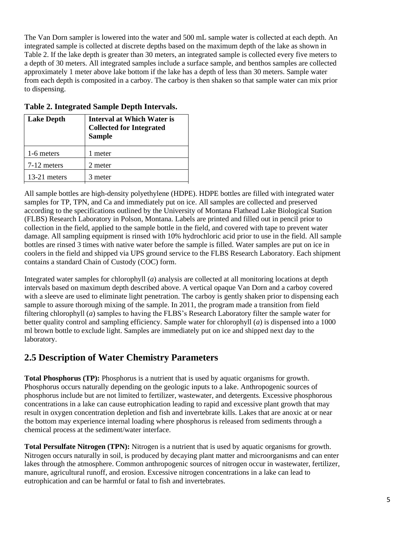The Van Dorn sampler is lowered into the water and 500 mL sample water is collected at each depth. An integrated sample is collected at discrete depths based on the maximum depth of the lake as shown in Table 2. If the lake depth is greater than 30 meters, an integrated sample is collected every five meters to a depth of 30 meters. All integrated samples include a surface sample, and benthos samples are collected approximately 1 meter above lake bottom if the lake has a depth of less than 30 meters. Sample water from each depth is composited in a carboy. The carboy is then shaken so that sample water can mix prior to dispensing.

| <b>Lake Depth</b> | <b>Interval at Which Water is</b><br><b>Collected for Integrated</b><br><b>Sample</b> |
|-------------------|---------------------------------------------------------------------------------------|
| 1-6 meters        | 1 meter                                                                               |
| 7-12 meters       | 2 meter                                                                               |
| 13-21 meters      | 3 meter                                                                               |

#### **Table 2. Integrated Sample Depth Intervals.**

All sample bottles are high-density polyethylene (HDPE). HDPE bottles are filled with integrated water samples for TP, TPN, and Ca and immediately put on ice. All samples are collected and preserved according to the specifications outlined by the University of Montana Flathead Lake Biological Station (FLBS) Research Laboratory in Polson, Montana. Labels are printed and filled out in pencil prior to collection in the field, applied to the sample bottle in the field, and covered with tape to prevent water damage. All sampling equipment is rinsed with 10% hydrochloric acid prior to use in the field. All sample bottles are rinsed 3 times with native water before the sample is filled. Water samples are put on ice in coolers in the field and shipped via UPS ground service to the FLBS Research Laboratory. Each shipment contains a standard Chain of Custody (COC) form.

Integrated water samples for chlorophyll (*a*) analysis are collected at all monitoring locations at depth intervals based on maximum depth described above. A vertical opaque Van Dorn and a carboy covered with a sleeve are used to eliminate light penetration. The carboy is gently shaken prior to dispensing each sample to assure thorough mixing of the sample. In 2011, the program made a transition from field filtering chlorophyll (*a*) samples to having the FLBS's Research Laboratory filter the sample water for better quality control and sampling efficiency. Sample water for chlorophyll (*a*) is dispensed into a 1000 ml brown bottle to exclude light. Samples are immediately put on ice and shipped next day to the laboratory.

#### **2.5 Description of Water Chemistry Parameters**

**Total Phosphorus (TP):** Phosphorus is a nutrient that is used by aquatic organisms for growth. Phosphorus occurs naturally depending on the geologic inputs to a lake. Anthropogenic sources of phosphorus include but are not limited to fertilizer, wastewater, and detergents. Excessive phosphorous concentrations in a lake can cause eutrophication leading to rapid and excessive plant growth that may result in oxygen concentration depletion and fish and invertebrate kills. Lakes that are anoxic at or near the bottom may experience internal loading where phosphorus is released from sediments through a chemical process at the sediment/water interface.

**Total Persulfate Nitrogen (TPN):** Nitrogen is a nutrient that is used by aquatic organisms for growth. Nitrogen occurs naturally in soil, is produced by decaying plant matter and microorganisms and can enter lakes through the atmosphere. Common anthropogenic sources of nitrogen occur in wastewater, fertilizer, manure, agricultural runoff, and erosion. Excessive nitrogen concentrations in a lake can lead to eutrophication and can be harmful or fatal to fish and invertebrates.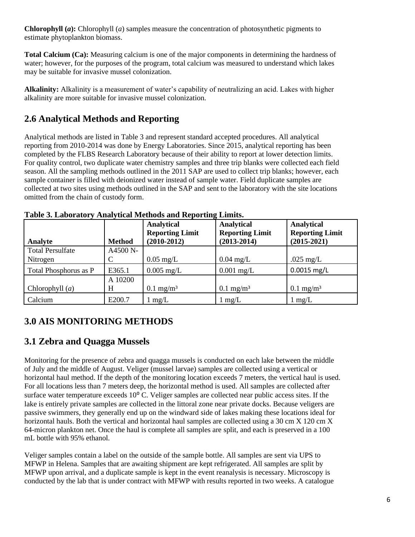**Chlorophyll (***a***):** Chlorophyll (*a*) samples measure the concentration of photosynthetic pigments to estimate phytoplankton biomass.

**Total Calcium (Ca):** Measuring calcium is one of the major components in determining the hardness of water; however, for the purposes of the program, total calcium was measured to understand which lakes may be suitable for invasive mussel colonization.

**Alkalinity:** Alkalinity is a measurement of water's capability of neutralizing an acid. Lakes with higher alkalinity are more suitable for invasive mussel colonization.

## **2.6 Analytical Methods and Reporting**

Analytical methods are listed in Table 3 and represent standard accepted procedures. All analytical reporting from 2010-2014 was done by Energy Laboratories. Since 2015, analytical reporting has been completed by the FLBS Research Laboratory because of their ability to report at lower detection limits. For quality control, two duplicate water chemistry samples and three trip blanks were collected each field season. All the sampling methods outlined in the 2011 SAP are used to collect trip blanks; however, each sample container is filled with deionized water instead of sample water. Field duplicate samples are collected at two sites using methods outlined in the SAP and sent to the laboratory with the site locations omitted from the chain of custody form.

| Analyte                             | <b>Method</b> | <b>Analytical</b><br><b>Reporting Limit</b><br>$(2010-2012)$ | <b>Analytical</b><br><b>Reporting Limit</b><br>$(2013 - 2014)$ | <b>Analytical</b><br><b>Reporting Limit</b><br>$(2015 - 2021)$ |
|-------------------------------------|---------------|--------------------------------------------------------------|----------------------------------------------------------------|----------------------------------------------------------------|
| <b>Total Persulfate</b><br>Nitrogen | A4500 N-      | $0.05$ mg/L                                                  | $0.04 \text{ mg/L}$                                            | .025 mg/L                                                      |
| Total Phosphorus as P               | E365.1        | $0.005$ mg/L                                                 | $0.001$ mg/L                                                   | $0.0015$ mg/L                                                  |
| Chlorophyll $(a)$                   | A 10200<br>H  | $0.1 \text{ mg/m}^3$                                         | $0.1 \text{ mg/m}^3$                                           | $0.1 \text{ mg/m}^3$                                           |
| Calcium                             | E200.7        | mg/L                                                         | $1 \text{ mg/L}$                                               | $1 \text{ mg/L}$                                               |

**Table 3. Laboratory Analytical Methods and Reporting Limits.**

## **3.0 AIS MONITORING METHODS**

### **3.1 Zebra and Quagga Mussels**

Monitoring for the presence of zebra and quagga mussels is conducted on each lake between the middle of July and the middle of August. Veliger (mussel larvae) samples are collected using a vertical or horizontal haul method. If the depth of the monitoring location exceeds 7 meters, the vertical haul is used. For all locations less than 7 meters deep, the horizontal method is used. All samples are collected after surface water temperature exceeds 10<sup>o</sup> C. Veliger samples are collected near public access sites. If the lake is entirely private samples are collected in the littoral zone near private docks. Because veligers are passive swimmers, they generally end up on the windward side of lakes making these locations ideal for horizontal hauls. Both the vertical and horizontal haul samples are collected using a 30 cm X 120 cm X 64-micron plankton net. Once the haul is complete all samples are split, and each is preserved in a 100 mL bottle with 95% ethanol.

Veliger samples contain a label on the outside of the sample bottle. All samples are sent via UPS to MFWP in Helena. Samples that are awaiting shipment are kept refrigerated. All samples are split by MFWP upon arrival, and a duplicate sample is kept in the event reanalysis is necessary. Microscopy is conducted by the lab that is under contract with MFWP with results reported in two weeks. A catalogue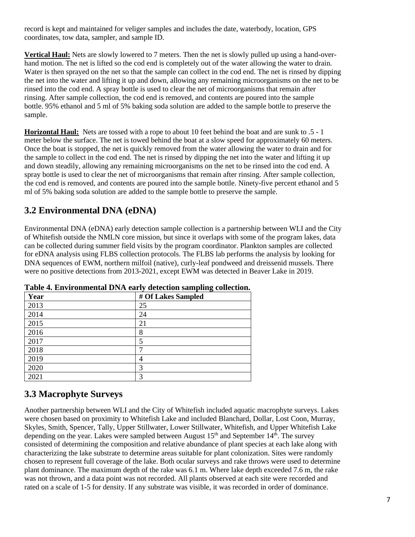record is kept and maintained for veliger samples and includes the date, waterbody, location, GPS coordinates, tow data, sampler, and sample ID.

**Vertical Haul:** Nets are slowly lowered to 7 meters. Then the net is slowly pulled up using a hand-overhand motion. The net is lifted so the cod end is completely out of the water allowing the water to drain. Water is then sprayed on the net so that the sample can collect in the cod end. The net is rinsed by dipping the net into the water and lifting it up and down, allowing any remaining microorganisms on the net to be rinsed into the cod end. A spray bottle is used to clear the net of microorganisms that remain after rinsing. After sample collection, the cod end is removed, and contents are poured into the sample bottle. 95% ethanol and 5 ml of 5% baking soda solution are added to the sample bottle to preserve the sample.

**Horizontal Haul:** Nets are tossed with a rope to about 10 feet behind the boat and are sunk to .5 - 1 meter below the surface. The net is towed behind the boat at a slow speed for approximately 60 meters. Once the boat is stopped, the net is quickly removed from the water allowing the water to drain and for the sample to collect in the cod end. The net is rinsed by dipping the net into the water and lifting it up and down steadily, allowing any remaining microorganisms on the net to be rinsed into the cod end. A spray bottle is used to clear the net of microorganisms that remain after rinsing. After sample collection, the cod end is removed, and contents are poured into the sample bottle. Ninety-five percent ethanol and 5 ml of 5% baking soda solution are added to the sample bottle to preserve the sample.

### **3.2 Environmental DNA (eDNA)**

Environmental DNA (eDNA) early detection sample collection is a partnership between WLI and the City of Whitefish outside the NMLN core mission, but since it overlaps with some of the program lakes, data can be collected during summer field visits by the program coordinator. Plankton samples are collected for eDNA analysis using FLBS collection protocols. The FLBS lab performs the analysis by looking for DNA sequences of EWM, northern milfoil (native), curly-leaf pondweed and dreissenid mussels. There were no positive detections from 2013-2021, except EWM was detected in Beaver Lake in 2019.

| Year | $\tilde{\phantom{a}}$<br># Of Lakes Sampled |
|------|---------------------------------------------|
| 2013 | 25                                          |
| 2014 | 24                                          |
| 2015 | 21                                          |
| 2016 | 8                                           |
| 2017 | 5                                           |
| 2018 | −                                           |
| 2019 | $\overline{4}$                              |
| 2020 | 3                                           |
| 2021 | 3                                           |

**Table 4. Environmental DNA early detection sampling collection.**

### **3.3 Macrophyte Surveys**

Another partnership between WLI and the City of Whitefish included aquatic macrophyte surveys. Lakes were chosen based on proximity to Whitefish Lake and included Blanchard, Dollar, Lost Coon, Murray, Skyles, Smith, Spencer, Tally, Upper Stillwater, Lower Stillwater, Whitefish, and Upper Whitefish Lake depending on the year. Lakes were sampled between August 15<sup>th</sup> and September 14<sup>th</sup>. The survey consisted of determining the composition and relative abundance of plant species at each lake along with characterizing the lake substrate to determine areas suitable for plant colonization. Sites were randomly chosen to represent full coverage of the lake. Both ocular surveys and rake throws were used to determine plant dominance. The maximum depth of the rake was 6.1 m. Where lake depth exceeded 7.6 m, the rake was not thrown, and a data point was not recorded. All plants observed at each site were recorded and rated on a scale of 1-5 for density. If any substrate was visible, it was recorded in order of dominance.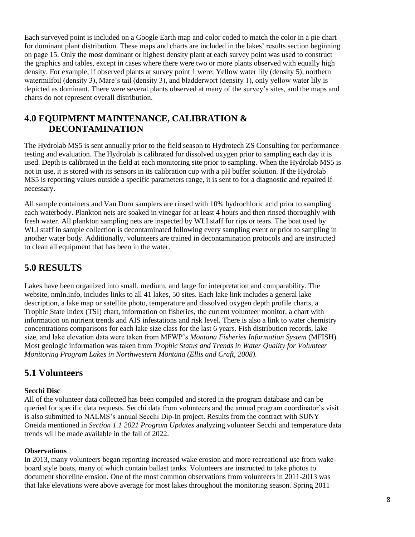Each surveyed point is included on a Google Earth map and color coded to match the color in a pie chart for dominant plant distribution. These maps and charts are included in the lakes' results section beginning on page 15. Only the most dominant or highest density plant at each survey point was used to construct the graphics and tables, except in cases where there were two or more plants observed with equally high density. For example, if observed plants at survey point 1 were: Yellow water lily (density 5), northern watermilfoil (density 3), Mare's tail (density 3), and bladderwort (density 1), only yellow water lily is depicted as dominant. There were several plants observed at many of the survey's sites, and the maps and charts do not represent overall distribution.

#### **4.0 EQUIPMENT MAINTENANCE, CALIBRATION & DECONTAMINATION**

The Hydrolab MS5 is sent annually prior to the field season to Hydrotech ZS Consulting for performance testing and evaluation. The Hydrolab is calibrated for dissolved oxygen prior to sampling each day it is used. Depth is calibrated in the field at each monitoring site prior to sampling. When the Hydrolab MS5 is not in use, it is stored with its sensors in its calibration cup with a pH buffer solution. If the Hydrolab MS5 is reporting values outside a specific parameters range, it is sent to for a diagnostic and repaired if necessary.

All sample containers and Van Dorn samplers are rinsed with 10% hydrochloric acid prior to sampling each waterbody. Plankton nets are soaked in vinegar for at least 4 hours and then rinsed thoroughly with fresh water. All plankton sampling nets are inspected by WLI staff for rips or tears. The boat used by WLI staff in sample collection is decontaminated following every sampling event or prior to sampling in another water body. Additionally, volunteers are trained in decontamination protocols and are instructed to clean all equipment that has been in the water.

## **5.0 RESULTS**

Lakes have been organized into small, medium, and large for interpretation and comparability. The website, nmln.info, includes links to all 41 lakes, 50 sites. Each lake link includes a general lake description, a lake map or satellite photo, temperature and dissolved oxygen depth profile charts, a Trophic State Index (TSI) chart, information on fisheries, the current volunteer monitor, a chart with information on nutrient trends and AIS infestations and risk level. There is also a link to water chemistry concentrations comparisons for each lake size class for the last 6 years. Fish distribution records, lake size, and lake elevation data were taken from MFWP's *Montana Fisheries Information System* (MFISH). Most geologic information was taken from *Trophic Status and Trends in Water Quality for Volunteer Monitoring Program Lakes in Northwestern Montana (Ellis and Craft, 2008).*

### **5.1 Volunteers**

#### **Secchi Disc**

All of the volunteer data collected has been compiled and stored in the program database and can be queried for specific data requests. Secchi data from volunteers and the annual program coordinator's visit is also submitted to NALMS's annual Secchi Dip-In project. Results from the contract with SUNY Oneida mentioned in *Section 1.1 2021 Program Updates* analyzing volunteer Secchi and temperature data trends will be made available in the fall of 2022.

#### **Observations**

In 2013, many volunteers began reporting increased wake erosion and more recreational use from wakeboard style boats, many of which contain ballast tanks. Volunteers are instructed to take photos to document shoreline erosion. One of the most common observations from volunteers in 2011-2013 was that lake elevations were above average for most lakes throughout the monitoring season. Spring 2011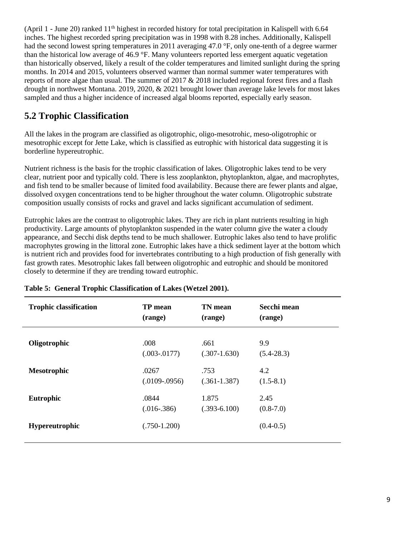(April 1 - June 20) ranked 11<sup>th</sup> highest in recorded history for total precipitation in Kalispell with 6.64 inches. The highest recorded spring precipitation was in 1998 with 8.28 inches. Additionally, Kalispell had the second lowest spring temperatures in 2011 averaging 47.0 °F, only one-tenth of a degree warmer than the historical low average of 46.9 °F. Many volunteers reported less emergent aquatic vegetation than historically observed, likely a result of the colder temperatures and limited sunlight during the spring months. In 2014 and 2015, volunteers observed warmer than normal summer water temperatures with reports of more algae than usual. The summer of 2017 & 2018 included regional forest fires and a flash drought in northwest Montana. 2019, 2020, & 2021 brought lower than average lake levels for most lakes sampled and thus a higher incidence of increased algal blooms reported, especially early season.

### **5.2 Trophic Classification**

All the lakes in the program are classified as oligotrophic, oligo-mesotrohic, meso-oligotrophic or mesotrophic except for Jette Lake, which is classified as eutrophic with historical data suggesting it is borderline hypereutrophic.

Nutrient richness is the basis for the trophic classification of lakes. Oligotrophic lakes tend to be very clear, nutrient poor and typically cold. There is less zooplankton, phytoplankton, algae, and macrophytes, and fish tend to be smaller because of limited food availability. Because there are fewer plants and algae, dissolved oxygen concentrations tend to be higher throughout the water column. Oligotrophic substrate composition usually consists of rocks and gravel and lacks significant accumulation of sediment.

Eutrophic lakes are the contrast to oligotrophic lakes. They are rich in plant nutrients resulting in high productivity. Large amounts of phytoplankton suspended in the water column give the water a cloudy appearance, and Secchi disk depths tend to be much shallower. Eutrophic lakes also tend to have prolific macrophytes growing in the littoral zone. Eutrophic lakes have a thick sediment layer at the bottom which is nutrient rich and provides food for invertebrates contributing to a high production of fish generally with fast growth rates. Mesotrophic lakes fall between oligotrophic and eutrophic and should be monitored closely to determine if they are trending toward eutrophic.

| <b>Trophic classification</b> | <b>TP</b> mean  | <b>TN</b> mean | Secchi mean    |
|-------------------------------|-----------------|----------------|----------------|
|                               | (range)         | (range)        | (range)        |
| Oligotrophic                  | .008            | .661           | 9.9            |
|                               | $(.003-.0177)$  | $(.307-1.630)$ | $(5.4 - 28.3)$ |
| <b>Mesotrophic</b>            | .0267           | .753           | 4.2            |
|                               | $(.0109-.0956)$ | $(.361-1.387)$ | $(1.5-8.1)$    |
| Eutrophic                     | .0844           | 1.875          | 2.45           |
|                               | $(.016-.386)$   | $(.393-6.100)$ | $(0.8-7.0)$    |
| <b>Hypereutrophic</b>         | $(.750-1.200)$  |                | $(0.4-0.5)$    |

#### **Table 5: General Trophic Classification of Lakes (Wetzel 2001).**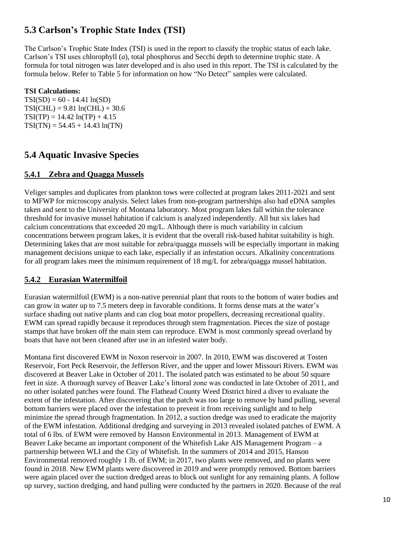### **5.3 Carlson's Trophic State Index (TSI)**

The Carlson's Trophic State Index (TSI) is used in the report to classify the trophic status of each lake. Carlson's TSI uses chlorophyll (*a*), total phosphorus and Secchi depth to determine trophic state. A formula for total nitrogen was later developed and is also used in this report. The TSI is calculated by the formula below. Refer to Table 5 for information on how "No Detect" samples were calculated.

#### **TSI Calculations:**

 $TSI(SD) = 60 - 14.41 \ln(SD)$  $TSI(CHL) = 9.81 ln(CHL) + 30.6$  $TSI(TP) = 14.42 ln(TP) + 4.15$  $TSI(TN) = 54.45 + 14.43 \ln(TN)$ 

#### **5.4 Aquatic Invasive Species**

#### **5.4.1 Zebra and Quagga Mussels**

Veliger samples and duplicates from plankton tows were collected at program lakes 2011-2021 and sent to MFWP for microscopy analysis. Select lakes from non-program partnerships also had eDNA samples taken and sent to the University of Montana laboratory. Most program lakes fall within the tolerance threshold for invasive mussel habitation if calcium is analyzed independently. All but six lakes had calcium concentrations that exceeded 20 mg/L. Although there is much variability in calcium concentrations between program lakes, it is evident that the overall risk-based habitat suitability is high. Determining lakes that are most suitable for zebra/quagga mussels will be especially important in making management decisions unique to each lake, especially if an infestation occurs. Alkalinity concentrations for all program lakes meet the minimum requirement of 18 mg/L for zebra/quagga mussel habitation.

#### **5.4.2 Eurasian Watermilfoil**

Eurasian watermilfoil (EWM) is a non-native perennial plant that roots to the bottom of water bodies and can grow in water up to 7.5 meters deep in favorable conditions. It forms dense mats at the water's surface shading out native plants and can clog boat motor propellers, decreasing recreational quality. EWM can spread rapidly because it reproduces through stem fragmentation. Pieces the size of postage stamps that have broken off the main stem can reproduce. EWM is most commonly spread overland by boats that have not been cleaned after use in an infested water body.

Montana first discovered EWM in Noxon reservoir in 2007. In 2010, EWM was discovered at Tosten Reservoir, Fort Peck Reservoir, the Jefferson River, and the upper and lower Missouri Rivers. EWM was discovered at Beaver Lake in October of 2011. The isolated patch was estimated to be about 50 square feet in size. A thorough survey of Beaver Lake's littoral zone was conducted in late October of 2011, and no other isolated patches were found. The Flathead County Weed District hired a diver to evaluate the extent of the infestation. After discovering that the patch was too large to remove by hand pulling, several bottom barriers were placed over the infestation to prevent it from receiving sunlight and to help minimize the spread through fragmentation. In 2012, a suction dredge was used to eradicate the majority of the EWM infestation. Additional dredging and surveying in 2013 revealed isolated patches of EWM. A total of 6 lbs. of EWM were removed by Hanson Environmental in 2013. Management of EWM at Beaver Lake became an important component of the Whitefish Lake AIS Management Program – a partnership between WLI and the City of Whitefish. In the summers of 2014 and 2015, Hanson Environmental removed roughly 1 lb. of EWM; in 2017, two plants were removed, and no plants were found in 2018. New EWM plants were discovered in 2019 and were promptly removed. Bottom barriers were again placed over the suction dredged areas to block out sunlight for any remaining plants. A follow up survey, suction dredging, and hand pulling were conducted by the partners in 2020. Because of the real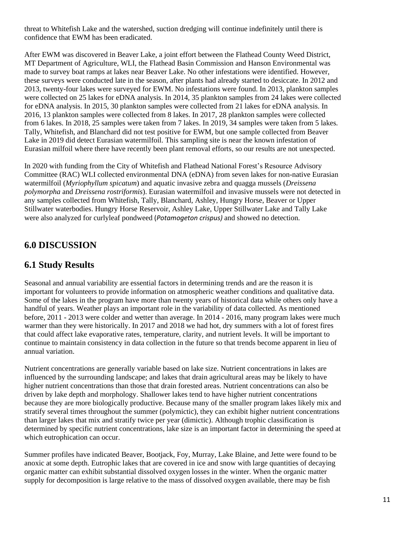threat to Whitefish Lake and the watershed, suction dredging will continue indefinitely until there is confidence that EWM has been eradicated.

After EWM was discovered in Beaver Lake, a joint effort between the Flathead County Weed District, MT Department of Agriculture, WLI, the Flathead Basin Commission and Hanson Environmental was made to survey boat ramps at lakes near Beaver Lake. No other infestations were identified. However, these surveys were conducted late in the season, after plants had already started to desiccate. In 2012 and 2013, twenty-four lakes were surveyed for EWM. No infestations were found. In 2013, plankton samples were collected on 25 lakes for eDNA analysis. In 2014, 35 plankton samples from 24 lakes were collected for eDNA analysis. In 2015, 30 plankton samples were collected from 21 lakes for eDNA analysis. In 2016, 13 plankton samples were collected from 8 lakes. In 2017, 28 plankton samples were collected from 6 lakes. In 2018, 25 samples were taken from 7 lakes. In 2019, 34 samples were taken from 5 lakes. Tally, Whitefish, and Blanchard did not test positive for EWM, but one sample collected from Beaver Lake in 2019 did detect Eurasian watermilfoil. This sampling site is near the known infestation of Eurasian milfoil where there have recently been plant removal efforts, so our results are not unexpected.

In 2020 with funding from the City of Whitefish and Flathead National Forest's Resource Advisory Committee (RAC) WLI collected environmental DNA (eDNA) from seven lakes for non-native Eurasian watermilfoil (*Myriophyllum spicatum*) and aquatic invasive zebra and quagga mussels (*Dreissena polymorpha* and *Dreissena rostriformis*). Eurasian watermilfoil and invasive mussels were not detected in any samples collected from Whitefish, Tally, Blanchard, Ashley, Hungry Horse, Beaver or Upper Stillwater waterbodies. Hungry Horse Reservoir, Ashley Lake, Upper Stillwater Lake and Tally Lake were also analyzed for curlyleaf pondweed (*Potamogeton crispus)* and showed no detection.

### **6.0 DISCUSSION**

#### **6.1 Study Results**

Seasonal and annual variability are essential factors in determining trends and are the reason it is important for volunteers to provide information on atmospheric weather conditions and qualitative data. Some of the lakes in the program have more than twenty years of historical data while others only have a handful of years. Weather plays an important role in the variability of data collected. As mentioned before, 2011 - 2013 were colder and wetter than average. In 2014 - 2016, many program lakes were much warmer than they were historically. In 2017 and 2018 we had hot, dry summers with a lot of forest fires that could affect lake evaporative rates, temperature, clarity, and nutrient levels. It will be important to continue to maintain consistency in data collection in the future so that trends become apparent in lieu of annual variation.

Nutrient concentrations are generally variable based on lake size. Nutrient concentrations in lakes are influenced by the surrounding landscape; and lakes that drain agricultural areas may be likely to have higher nutrient concentrations than those that drain forested areas. Nutrient concentrations can also be driven by lake depth and morphology. Shallower lakes tend to have higher nutrient concentrations because they are more biologically productive. Because many of the smaller program lakes likely mix and stratify several times throughout the summer (polymictic), they can exhibit higher nutrient concentrations than larger lakes that mix and stratify twice per year (dimictic). Although trophic classification is determined by specific nutrient concentrations, lake size is an important factor in determining the speed at which eutrophication can occur.

Summer profiles have indicated Beaver, Bootjack, Foy, Murray, Lake Blaine, and Jette were found to be anoxic at some depth. Eutrophic lakes that are covered in ice and snow with large quantities of decaying organic matter can exhibit substantial dissolved oxygen losses in the winter. When the organic matter supply for decomposition is large relative to the mass of dissolved oxygen available, there may be fish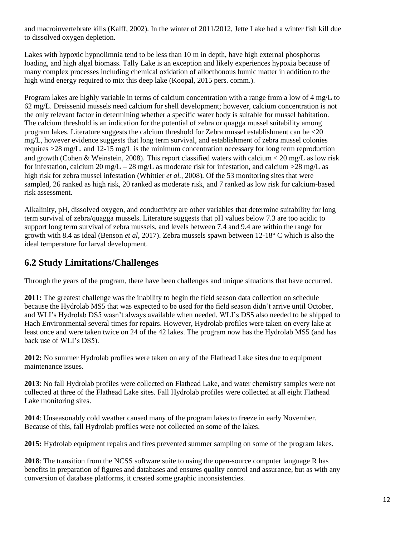and macroinvertebrate kills (Kalff, 2002). In the winter of 2011/2012, Jette Lake had a winter fish kill due to dissolved oxygen depletion.

Lakes with hypoxic hypnolimnia tend to be less than 10 m in depth, have high external phosphorus loading, and high algal biomass. Tally Lake is an exception and likely experiences hypoxia because of many complex processes including chemical oxidation of allocthonous humic matter in addition to the high wind energy required to mix this deep lake (Koopal, 2015 pers. comm.).

Program lakes are highly variable in terms of calcium concentration with a range from a low of 4 mg/L to 62 mg/L. Dreissenid mussels need calcium for shell development; however, calcium concentration is not the only relevant factor in determining whether a specific water body is suitable for mussel habitation. The calcium threshold is an indication for the potential of zebra or quagga mussel suitability among program lakes. Literature suggests the calcium threshold for Zebra mussel establishment can be <20 mg/L, however evidence suggests that long term survival, and establishment of zebra mussel colonies requires >28 mg/L, and 12-15 mg/L is the minimum concentration necessary for long term reproduction and growth (Cohen & Weinstein, 2008). This report classified waters with calcium < 20 mg/L as low risk for infestation, calcium 20 mg/L – 28 mg/L as moderate risk for infestation, and calcium  $>$  28 mg/L as high risk for zebra mussel infestation (Whittier *et al.,* 2008)*.* Of the 53 monitoring sites that were sampled, 26 ranked as high risk, 20 ranked as moderate risk, and 7 ranked as low risk for calcium-based risk assessment.

Alkalinity, pH, dissolved oxygen, and conductivity are other variables that determine suitability for long term survival of zebra/quagga mussels. Literature suggests that pH values below 7.3 are too acidic to support long term survival of zebra mussels, and levels between 7.4 and 9.4 are within the range for growth with 8.4 as ideal (Benson *et al*, 2017). Zebra mussels spawn between 12-18° C which is also the ideal temperature for larval development.

### **6.2 Study Limitations/Challenges**

Through the years of the program, there have been challenges and unique situations that have occurred.

**2011:** The greatest challenge was the inability to begin the field season data collection on schedule because the Hydrolab MS5 that was expected to be used for the field season didn't arrive until October, and WLI's Hydrolab DS5 wasn't always available when needed. WLI's DS5 also needed to be shipped to Hach Environmental several times for repairs. However, Hydrolab profiles were taken on every lake at least once and were taken twice on 24 of the 42 lakes. The program now has the Hydrolab MS5 (and has back use of WLI's DS5).

**2012:** No summer Hydrolab profiles were taken on any of the Flathead Lake sites due to equipment maintenance issues.

**2013**: No fall Hydrolab profiles were collected on Flathead Lake, and water chemistry samples were not collected at three of the Flathead Lake sites. Fall Hydrolab profiles were collected at all eight Flathead Lake monitoring sites.

**2014**: Unseasonably cold weather caused many of the program lakes to freeze in early November. Because of this, fall Hydrolab profiles were not collected on some of the lakes.

**2015:** Hydrolab equipment repairs and fires prevented summer sampling on some of the program lakes.

**2018**: The transition from the NCSS software suite to using the open-source computer language R has benefits in preparation of figures and databases and ensures quality control and assurance, but as with any conversion of database platforms, it created some graphic inconsistencies.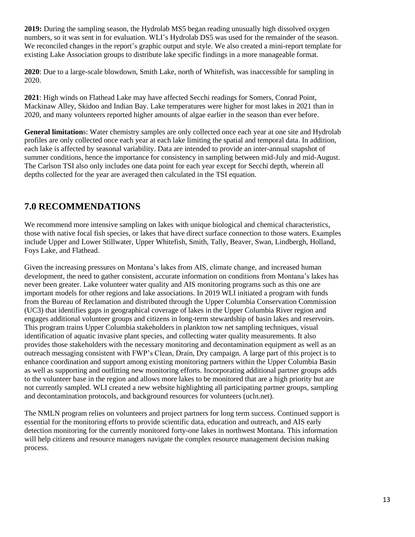**2019:** During the sampling season, the Hydrolab MS5 began reading unusually high dissolved oxygen numbers, so it was sent in for evaluation. WLI's Hydrolab DS5 was used for the remainder of the season. We reconciled changes in the report's graphic output and style. We also created a mini-report template for existing Lake Association groups to distribute lake specific findings in a more manageable format.

**2020**: Due to a large-scale blowdown, Smith Lake, north of Whitefish, was inaccessible for sampling in 2020.

**2021**: High winds on Flathead Lake may have affected Secchi readings for Somers, Conrad Point, Mackinaw Alley, Skidoo and Indian Bay. Lake temperatures were higher for most lakes in 2021 than in 2020, and many volunteers reported higher amounts of algae earlier in the season than ever before.

**General limitation**s: Water chemistry samples are only collected once each year at one site and Hydrolab profiles are only collected once each year at each lake limiting the spatial and temporal data. In addition, each lake is affected by seasonal variability. Data are intended to provide an inter-annual snapshot of summer conditions, hence the importance for consistency in sampling between mid-July and mid-August. The Carlson TSI also only includes one data point for each year except for Secchi depth, wherein all depths collected for the year are averaged then calculated in the TSI equation.

### **7.0 RECOMMENDATIONS**

We recommend more intensive sampling on lakes with unique biological and chemical characteristics, those with native focal fish species, or lakes that have direct surface connection to those waters. Examples include Upper and Lower Stillwater, Upper Whitefish, Smith, Tally, Beaver, Swan, Lindbergh, Holland, Foys Lake, and Flathead.

Given the increasing pressures on Montana's lakes from AIS, climate change, and increased human development, the need to gather consistent, accurate information on conditions from Montana's lakes has never been greater. Lake volunteer water quality and AIS monitoring programs such as this one are important models for other regions and lake associations. In 2019 WLI initiated a program with funds from the Bureau of Reclamation and distributed through the Upper Columbia Conservation Commission (UC3) that identifies gaps in geographical coverage of lakes in the Upper Columbia River region and engages additional volunteer groups and citizens in long-term stewardship of basin lakes and reservoirs. This program trains Upper Columbia stakeholders in plankton tow net sampling techniques, visual identification of aquatic invasive plant species, and collecting water quality measurements. It also provides those stakeholders with the necessary monitoring and decontamination equipment as well as an outreach messaging consistent with FWP's Clean, Drain, Dry campaign. A large part of this project is to enhance coordination and support among existing monitoring partners within the Upper Columbia Basin as well as supporting and outfitting new monitoring efforts. Incorporating additional partner groups adds to the volunteer base in the region and allows more lakes to be monitored that are a high priority but are not currently sampled. WLI created a new website highlighting all participating partner groups, sampling and decontamination protocols, and background resources for volunteers (ucln.net).

The NMLN program relies on volunteers and project partners for long term success. Continued support is essential for the monitoring efforts to provide scientific data, education and outreach, and AIS early detection monitoring for the currently monitored forty-one lakes in northwest Montana. This information will help citizens and resource managers navigate the complex resource management decision making process.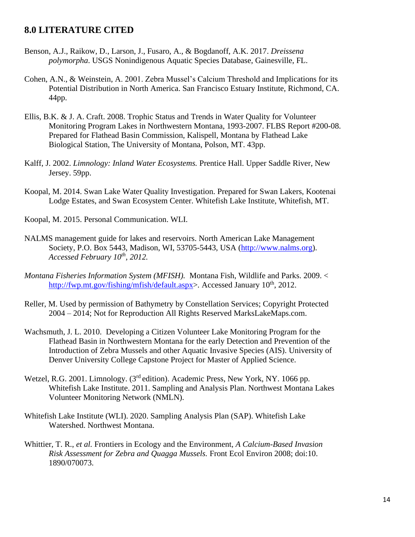#### **8.0 LITERATURE CITED**

- Benson, A.J., Raikow, D., Larson, J., Fusaro, A., & Bogdanoff, A.K. 2017. *Dreissena polymorpha*. USGS Nonindigenous Aquatic Species Database, Gainesville, FL.
- Cohen, A.N., & Weinstein, A. 2001. Zebra Mussel's Calcium Threshold and Implications for its Potential Distribution in North America. San Francisco Estuary Institute, Richmond, CA. 44pp.
- Ellis, B.K. & J. A. Craft. 2008. Trophic Status and Trends in Water Quality for Volunteer Monitoring Program Lakes in Northwestern Montana, 1993-2007. FLBS Report #200-08. Prepared for Flathead Basin Commission, Kalispell, Montana by Flathead Lake Biological Station, The University of Montana, Polson, MT. 43pp.
- Kalff, J. 2002. *Limnology: Inland Water Ecosystems.* Prentice Hall. Upper Saddle River, New Jersey. 59pp.
- Koopal, M. 2014. Swan Lake Water Quality Investigation. Prepared for Swan Lakers, Kootenai Lodge Estates, and Swan Ecosystem Center. Whitefish Lake Institute, Whitefish, MT.
- Koopal, M. 2015. Personal Communication. WLI.
- NALMS management guide for lakes and reservoirs. North American Lake Management Society, P.O. Box 5443, Madison, WI, 53705-5443, USA [\(http://www.nalms.org\)](http://www.nalms.org/). *Accessed February 10th , 2012.*
- *Montana Fisheries Information System (MFISH).* Montana Fish, Wildlife and Parks. 2009. < [http://fwp.mt.gov/fishing/mfish/default.aspx>](http://fwp.mt.gov/fishing/mfish/default.aspx). Accessed January 10<sup>th</sup>, 2012.
- Reller, M. Used by permission of Bathymetry by Constellation Services; Copyright Protected 2004 – 2014; Not for Reproduction All Rights Reserved MarksLakeMaps.com.
- Wachsmuth, J. L. 2010. Developing a Citizen Volunteer Lake Monitoring Program for the Flathead Basin in Northwestern Montana for the early Detection and Prevention of the Introduction of Zebra Mussels and other Aquatic Invasive Species (AIS). University of Denver University College Capstone Project for Master of Applied Science.
- Wetzel, R.G. 2001. Limnology. (3<sup>rd</sup> edition). Academic Press, New York, NY. 1066 pp. Whitefish Lake Institute. 2011. Sampling and Analysis Plan. Northwest Montana Lakes Volunteer Monitoring Network (NMLN).
- Whitefish Lake Institute (WLI). 2020. Sampling Analysis Plan (SAP). Whitefish Lake Watershed. Northwest Montana.
- Whittier, T. R., *et al.* Frontiers in Ecology and the Environment, *A Calcium-Based Invasion Risk Assessment for Zebra and Quagga Mussels.* Front Ecol Environ 2008; doi:10. 1890/070073.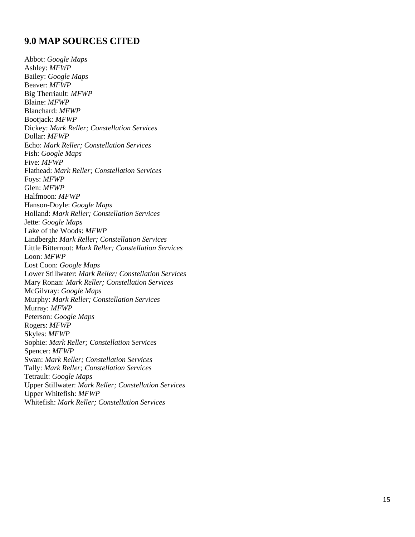#### **9.0 MAP SOURCES CITED**

Abbot: *Google Maps* Ashley: *MFWP* Bailey: *Google Maps* Beaver: *MFWP* Big Therriault: *MFWP* Blaine: *MFWP* Blanchard: *MFWP* Bootjack : *MFWP* Dickey: *Mark Reller; Constellation Services* Dollar: *MFWP* Echo: *Mark Reller; Constellation Services* Fis h: *Google Maps* Five: *MFWP* Flathead : *Mark Reller; Constellation Services* Foys : *MFWP* Glen : *MFWP* Halfmoon: *MFWP* Hanson -Doyle: *Google Maps* Holland: *Mark Reller; Constellation Services* Jette: *Google Maps* Lake of the Woods: *MFWP* Lindbergh: *Mark Reller; Constellation Services* Little Bitterroot: *Mark Reller; Constellation Services* Loon: *MFWP* Lost Coon: *Google Maps* Lower Stillwate r: *Mark Reller; Constellation Services* Mary Ronan: *Mark Reller; Constellation Services* McGilvray: *Google Maps* Murphy: *Mark Reller; Constellation Services* Murray: *MFWP* Peterson: *Google Maps* Rogers: *MFWP* Skyles: *MFWP* Sophie : *Mark Reller; Constellation Services* Spencer: *MFWP* Swan: *Mark Reller; Constellation Services* Tally: *Mark Reller; Constellation Services* Tetraul t: *Google Maps* Upper Stillwater: *Mark Reller; Constellation Services* Upper Whitefish : *MFWP* Whitefish: *Mark Reller; Constellation Services*